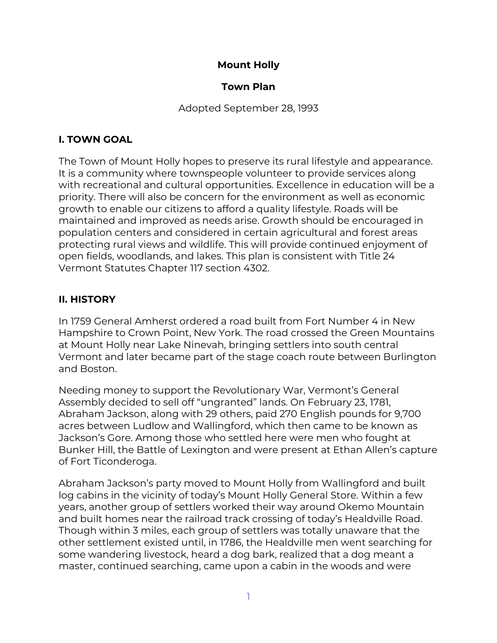## **Mount Holly**

#### **Town Plan**

Adopted September 28, 1993

### **I. TOWN GOAL**

The Town of Mount Holly hopes to preserve its rural lifestyle and appearance. It is a community where townspeople volunteer to provide services along with recreational and cultural opportunities. Excellence in education will be a priority. There will also be concern for the environment as well as economic growth to enable our citizens to afford a quality lifestyle. Roads will be maintained and improved as needs arise. Growth should be encouraged in population centers and considered in certain agricultural and forest areas protecting rural views and wildlife. This will provide continued enjoyment of open fields, woodlands, and lakes. This plan is consistent with Title 24 Vermont Statutes Chapter 117 section 4302.

## **II. HISTORY**

In 1759 General Amherst ordered a road built from Fort Number 4 in New Hampshire to Crown Point, New York. The road crossed the Green Mountains at Mount Holly near Lake Ninevah, bringing settlers into south central Vermont and later became part of the stage coach route between Burlington and Boston.

Needing money to support the Revolutionary War, Vermont's General Assembly decided to sell off "ungranted" lands. On February 23, 1781, Abraham Jackson, along with 29 others, paid 270 English pounds for 9,700 acres between Ludlow and Wallingford, which then came to be known as Jackson's Gore. Among those who settled here were men who fought at Bunker Hill, the Battle of Lexington and were present at Ethan Allen's capture of Fort Ticonderoga.

Abraham Jackson's party moved to Mount Holly from Wallingford and built log cabins in the vicinity of today's Mount Holly General Store. Within a few years, another group of settlers worked their way around Okemo Mountain and built homes near the railroad track crossing of today's Healdville Road. Though within 3 miles, each group of settlers was totally unaware that the other settlement existed until, in 1786, the Healdville men went searching for some wandering livestock, heard a dog bark, realized that a dog meant a master, continued searching, came upon a cabin in the woods and were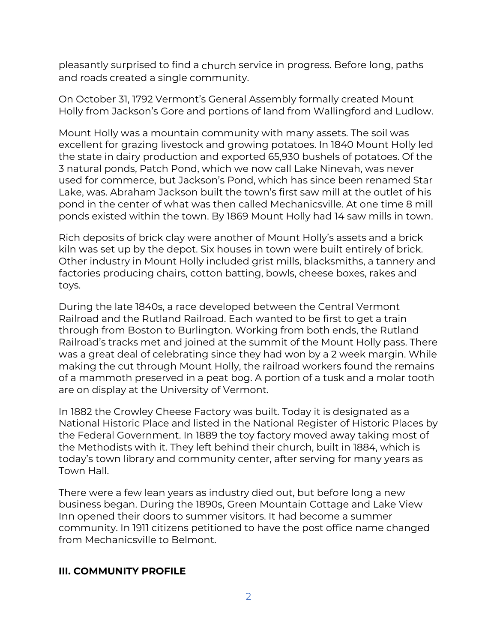pleasantly surprised to find a church service in progress. Before long, paths and roads created a single community.

On October 31, 1792 Vermont's General Assembly formally created Mount Holly from Jackson's Gore and portions of land from Wallingford and Ludlow.

Mount Holly was a mountain community with many assets. The soil was excellent for grazing livestock and growing potatoes. In 1840 Mount Holly led the state in dairy production and exported 65,930 bushels of potatoes. Of the 3 natural ponds, Patch Pond, which we now call Lake Ninevah, was never used for commerce, but Jackson's Pond, which has since been renamed Star Lake, was. Abraham Jackson built the town's first saw mill at the outlet of his pond in the center of what was then called Mechanicsville. At one time 8 mill ponds existed within the town. By 1869 Mount Holly had 14 saw mills in town.

Rich deposits of brick clay were another of Mount Holly's assets and a brick kiln was set up by the depot. Six houses in town were built entirely of brick. Other industry in Mount Holly included grist mills, blacksmiths, a tannery and factories producing chairs, cotton batting, bowls, cheese boxes, rakes and toys.

During the late 1840s, a race developed between the Central Vermont Railroad and the Rutland Railroad. Each wanted to be first to get a train through from Boston to Burlington. Working from both ends, the Rutland Railroad's tracks met and joined at the summit of the Mount Holly pass. There was a great deal of celebrating since they had won by a 2 week margin. While making the cut through Mount Holly, the railroad workers found the remains of a mammoth preserved in a peat bog. A portion of a tusk and a molar tooth are on display at the University of Vermont.

In 1882 the Crowley Cheese Factory was built. Today it is designated as a National Historic Place and listed in the National Register of Historic Places by the Federal Government. In 1889 the toy factory moved away taking most of the Methodists with it. They left behind their church, built in 1884, which is today's town library and community center, after serving for many years as Town Hall.

There were a few lean years as industry died out, but before long a new business began. During the 1890s, Green Mountain Cottage and Lake View Inn opened their doors to summer visitors. It had become a summer community. In 1911 citizens petitioned to have the post office name changed from Mechanicsville to Belmont.

#### **III. COMMUNITY PROFILE**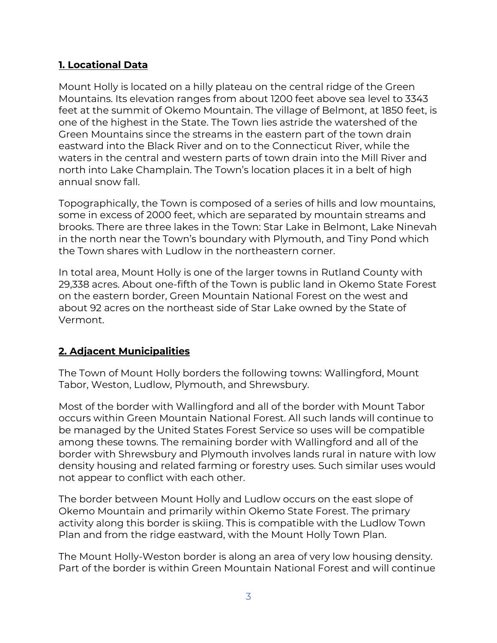## **1. Locational Data**

Mount Holly is located on a hilly plateau on the central ridge of the Green Mountains. Its elevation ranges from about 1200 feet above sea level to 3343 feet at the summit of Okemo Mountain. The village of Belmont, at 1850 feet, is one of the highest in the State. The Town lies astride the watershed of the Green Mountains since the streams in the eastern part of the town drain eastward into the Black River and on to the Connecticut River, while the waters in the central and western parts of town drain into the Mill River and north into Lake Champlain. The Town's location places it in a belt of high annual snow fall.

Topographically, the Town is composed of a series of hills and low mountains, some in excess of 2000 feet, which are separated by mountain streams and brooks. There are three lakes in the Town: Star Lake in Belmont, Lake Ninevah in the north near the Town's boundary with Plymouth, and Tiny Pond which the Town shares with Ludlow in the northeastern corner.

In total area, Mount Holly is one of the larger towns in Rutland County with 29,338 acres. About one-fifth of the Town is public land in Okemo State Forest on the eastern border, Green Mountain National Forest on the west and about 92 acres on the northeast side of Star Lake owned by the State of Vermont.

# **2. Adjacent Municipalities**

The Town of Mount Holly borders the following towns: Wallingford, Mount Tabor, Weston, Ludlow, Plymouth, and Shrewsbury.

Most of the border with Wallingford and all of the border with Mount Tabor occurs within Green Mountain National Forest. All such lands will continue to be managed by the United States Forest Service so uses will be compatible among these towns. The remaining border with Wallingford and all of the border with Shrewsbury and Plymouth involves lands rural in nature with low density housing and related farming or forestry uses. Such similar uses would not appear to conflict with each other.

The border between Mount Holly and Ludlow occurs on the east slope of Okemo Mountain and primarily within Okemo State Forest. The primary activity along this border is skiing. This is compatible with the Ludlow Town Plan and from the ridge eastward, with the Mount Holly Town Plan.

The Mount Holly-Weston border is along an area of very low housing density. Part of the border is within Green Mountain National Forest and will continue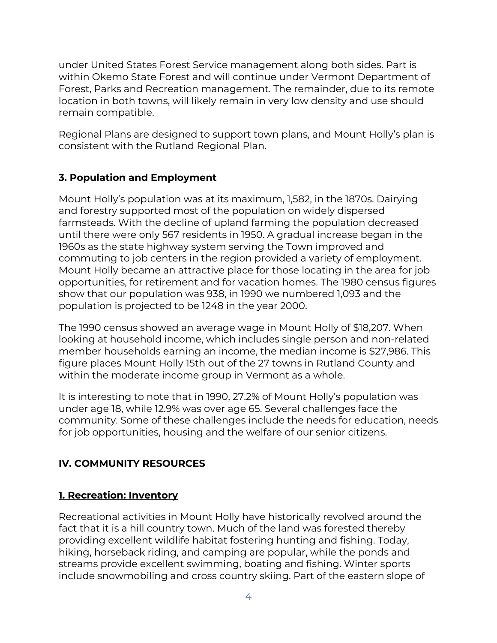under United States Forest Service management along both sides. Part is within Okemo State Forest and will continue under Vermont Department of Forest, Parks and Recreation management. The remainder, due to its remote location in both towns, will likely remain in very low density and use should remain compatible.

Regional Plans are designed to support town plans, and Mount Holly's plan is consistent with the Rutland Regional Plan.

## **3. Population and Employment**

Mount Holly's population was at its maximum, 1,582, in the 1870s. Dairying and forestry supported most of the population on widely dispersed farmsteads. With the decline of upland farming the population decreased until there were only 567 residents in 1950. A gradual increase began in the 1960s as the state highway system serving the Town improved and commuting to job centers in the region provided a variety of employment. Mount Holly became an attractive place for those locating in the area for job opportunities, for retirement and for vacation homes. The 1980 census figures show that our population was 938, in 1990 we numbered 1,093 and the population is projected to be 1248 in the year 2000.

The 1990 census showed an average wage in Mount Holly of \$18,207. When looking at household income, which includes single person and non-related member households earning an income, the median income is \$27,986. This figure places Mount Holly 15th out of the 27 towns in Rutland County and within the moderate income group in Vermont as a whole.

It is interesting to note that in 1990, 27.2% of Mount Holly's population was under age 18, while 12.9% was over age 65. Several challenges face the community. Some of these challenges include the needs for education, needs for job opportunities, housing and the welfare of our senior citizens.

# **IV. COMMUNITY RESOURCES**

## **1. Recreation: Inventory**

Recreational activities in Mount Holly have historically revolved around the fact that it is a hill country town. Much of the land was forested thereby providing excellent wildlife habitat fostering hunting and fishing. Today, hiking, horseback riding, and camping are popular, while the ponds and streams provide excellent swimming, boating and fishing. Winter sports include snowmobiling and cross country skiing. Part of the eastern slope of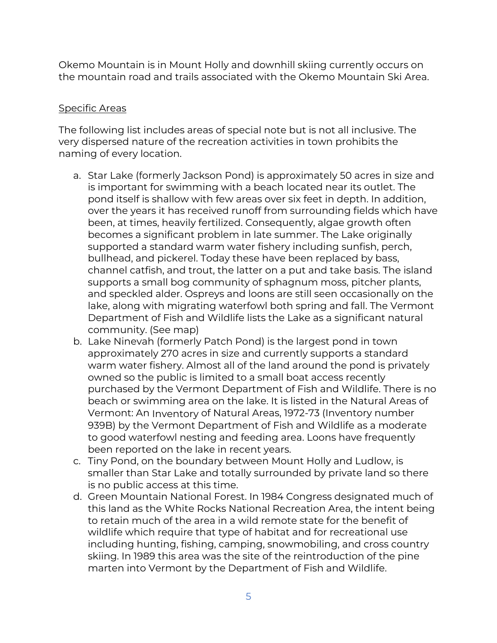Okemo Mountain is in Mount Holly and downhill skiing currently occurs on the mountain road and trails associated with the Okemo Mountain Ski Area.

#### Specific Areas

The following list includes areas of special note but is not all inclusive. The very dispersed nature of the recreation activities in town prohibits the naming of every location.

- a. Star Lake (formerly Jackson Pond) is approximately 50 acres in size and is important for swimming with a beach located near its outlet. The pond itself is shallow with few areas over six feet in depth. In addition, over the years it has received runoff from surrounding fields which have been, at times, heavily fertilized. Consequently, algae growth often becomes a significant problem in late summer. The Lake originally supported a standard warm water fishery including sunfish, perch, bullhead, and pickerel. Today these have been replaced by bass, channel catfish, and trout, the latter on a put and take basis. The island supports a small bog community of sphagnum moss, pitcher plants, and speckled alder. Ospreys and loons are still seen occasionally on the lake, along with migrating waterfowl both spring and fall. The Vermont Department of Fish and Wildlife lists the Lake as a significant natural community. (See map)
- b. Lake Ninevah (formerly Patch Pond) is the largest pond in town approximately 270 acres in size and currently supports a standard warm water fishery. Almost all of the land around the pond is privately owned so the public is limited to a small boat access recently purchased by the Vermont Department of Fish and Wildlife. There is no beach or swimming area on the lake. It is listed in the Natural Areas of Vermont: An Inventory of Natural Areas, 1972-73 (Inventory number 939B) by the Vermont Department of Fish and Wildlife as a moderate to good waterfowl nesting and feeding area. Loons have frequently been reported on the lake in recent years.
- c. Tiny Pond, on the boundary between Mount Holly and Ludlow, is smaller than Star Lake and totally surrounded by private land so there is no public access at this time.
- d. Green Mountain National Forest. In 1984 Congress designated much of this land as the White Rocks National Recreation Area, the intent being to retain much of the area in a wild remote state for the benefit of wildlife which require that type of habitat and for recreational use including hunting, fishing, camping, snowmobiling, and cross country skiing. In 1989 this area was the site of the reintroduction of the pine marten into Vermont by the Department of Fish and Wildlife.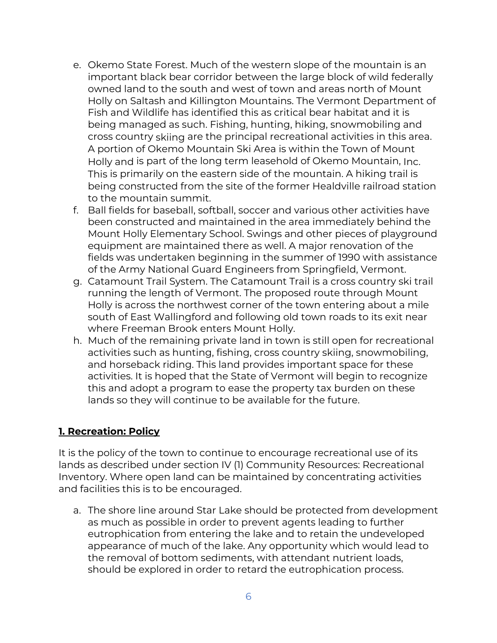- e. Okemo State Forest. Much of the western slope of the mountain is an important black bear corridor between the large block of wild federally owned land to the south and west of town and areas north of Mount Holly on Saltash and Killington Mountains. The Vermont Department of Fish and Wildlife has identified this as critical bear habitat and it is being managed as such. Fishing, hunting, hiking, snowmobiling and cross country skiing are the principal recreational activities in this area. A portion of Okemo Mountain Ski Area is within the Town of Mount Holly and is part of the long term leasehold of Okemo Mountain, Inc. This is primarily on the eastern side of the mountain. A hiking trail is being constructed from the site of the former Healdville railroad station to the mountain summit.
- f. Ball fields for baseball, softball, soccer and various other activities have been constructed and maintained in the area immediately behind the Mount Holly Elementary School. Swings and other pieces of playground equipment are maintained there as well. A major renovation of the fields was undertaken beginning in the summer of 1990 with assistance of the Army National Guard Engineers from Springfield, Vermont.
- g. Catamount Trail System. The Catamount Trail is a cross country ski trail running the length of Vermont. The proposed route through Mount Holly is across the northwest corner of the town entering about a mile south of East Wallingford and following old town roads to its exit near where Freeman Brook enters Mount Holly.
- h. Much of the remaining private land in town is still open for recreational activities such as hunting, fishing, cross country skiing, snowmobiling, and horseback riding. This land provides important space for these activities. It is hoped that the State of Vermont will begin to recognize this and adopt a program to ease the property tax burden on these lands so they will continue to be available for the future.

## **1. Recreation: Policy**

It is the policy of the town to continue to encourage recreational use of its lands as described under section IV (1) Community Resources: Recreational Inventory. Where open land can be maintained by concentrating activities and facilities this is to be encouraged.

a. The shore line around Star Lake should be protected from development as much as possible in order to prevent agents leading to further eutrophication from entering the lake and to retain the undeveloped appearance of much of the lake. Any opportunity which would lead to the removal of bottom sediments, with attendant nutrient loads, should be explored in order to retard the eutrophication process.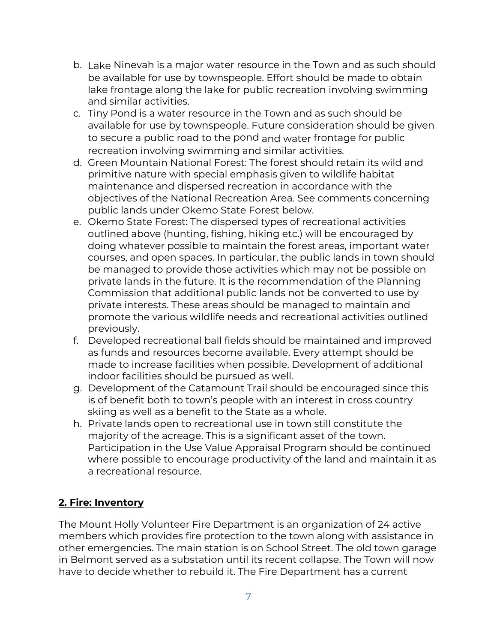- b. Lake Ninevah is a major water resource in the Town and as such should be available for use by townspeople. Effort should be made to obtain lake frontage along the lake for public recreation involving swimming and similar activities.
- c. Tiny Pond is a water resource in the Town and as such should be available for use by townspeople. Future consideration should be given to secure a public road to the pond and water frontage for public recreation involving swimming and similar activities.
- d. Green Mountain National Forest: The forest should retain its wild and primitive nature with special emphasis given to wildlife habitat maintenance and dispersed recreation in accordance with the objectives of the National Recreation Area. See comments concerning public lands under Okemo State Forest below.
- e. Okemo State Forest: The dispersed types of recreational activities outlined above (hunting, fishing, hiking etc.) will be encouraged by doing whatever possible to maintain the forest areas, important water courses, and open spaces. In particular, the public lands in town should be managed to provide those activities which may not be possible on private lands in the future. It is the recommendation of the Planning Commission that additional public lands not be converted to use by private interests. These areas should be managed to maintain and promote the various wildlife needs and recreational activities outlined previously.
- f. Developed recreational ball fields should be maintained and improved as funds and resources become available. Every attempt should be made to increase facilities when possible. Development of additional indoor facilities should be pursued as well.
- g. Development of the Catamount Trail should be encouraged since this is of benefit both to town's people with an interest in cross country skiing as well as a benefit to the State as a whole.
- h. Private lands open to recreational use in town still constitute the majority of the acreage. This is a significant asset of the town. Participation in the Use Value Appraisal Program should be continued where possible to encourage productivity of the land and maintain it as a recreational resource.

## **2. Fire: Inventory**

The Mount Holly Volunteer Fire Department is an organization of 24 active members which provides fire protection to the town along with assistance in other emergencies. The main station is on School Street. The old town garage in Belmont served as a substation until its recent collapse. The Town will now have to decide whether to rebuild it. The Fire Department has a current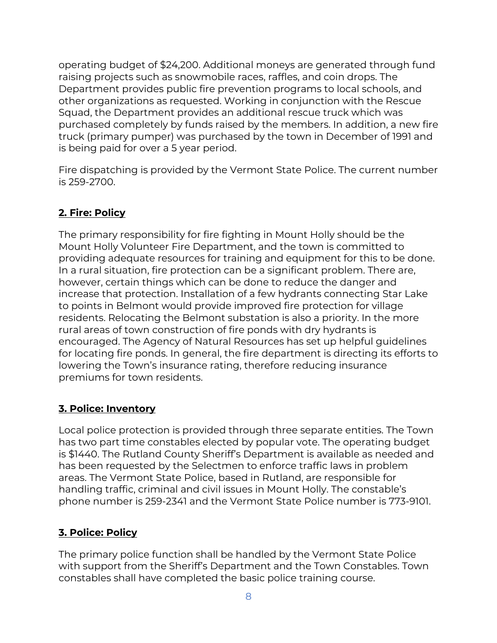operating budget of \$24,200. Additional moneys are generated through fund raising projects such as snowmobile races, raffles, and coin drops. The Department provides public fire prevention programs to local schools, and other organizations as requested. Working in conjunction with the Rescue Squad, the Department provides an additional rescue truck which was purchased completely by funds raised by the members. In addition, a new fire truck (primary pumper) was purchased by the town in December of 1991 and is being paid for over a 5 year period.

Fire dispatching is provided by the Vermont State Police. The current number is 259-2700.

# **2. Fire: Policy**

The primary responsibility for fire fighting in Mount Holly should be the Mount Holly Volunteer Fire Department, and the town is committed to providing adequate resources for training and equipment for this to be done. In a rural situation, fire protection can be a significant problem. There are, however, certain things which can be done to reduce the danger and increase that protection. Installation of a few hydrants connecting Star Lake to points in Belmont would provide improved fire protection for village residents. Relocating the Belmont substation is also a priority. In the more rural areas of town construction of fire ponds with dry hydrants is encouraged. The Agency of Natural Resources has set up helpful guidelines for locating fire ponds. In general, the fire department is directing its efforts to lowering the Town's insurance rating, therefore reducing insurance premiums for town residents.

## **3. Police: Inventory**

Local police protection is provided through three separate entities. The Town has two part time constables elected by popular vote. The operating budget is \$1440. The Rutland County Sheriff's Department is available as needed and has been requested by the Selectmen to enforce traffic laws in problem areas. The Vermont State Police, based in Rutland, are responsible for handling traffic, criminal and civil issues in Mount Holly. The constable's phone number is 259-2341 and the Vermont State Police number is 773-9101.

# **3. Police: Policy**

The primary police function shall be handled by the Vermont State Police with support from the Sheriff's Department and the Town Constables. Town constables shall have completed the basic police training course.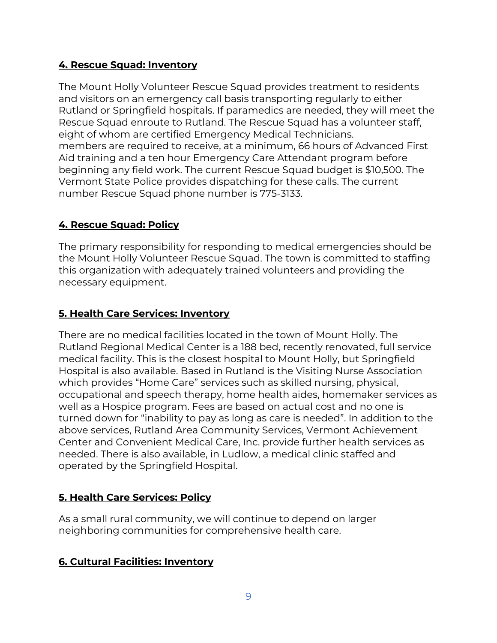# **4. Rescue Squad: Inventory**

The Mount Holly Volunteer Rescue Squad provides treatment to residents and visitors on an emergency call basis transporting regularly to either Rutland or Springfield hospitals. If paramedics are needed, they will meet the Rescue Squad enroute to Rutland. The Rescue Squad has a volunteer staff, eight of whom are certified Emergency Medical Technicians. members are required to receive, at a minimum, 66 hours of Advanced First Aid training and a ten hour Emergency Care Attendant program before beginning any field work. The current Rescue Squad budget is \$10,500. The Vermont State Police provides dispatching for these calls. The current number Rescue Squad phone number is 775-3133.

## **4. Rescue Squad: Policy**

The primary responsibility for responding to medical emergencies should be the Mount Holly Volunteer Rescue Squad. The town is committed to staffing this organization with adequately trained volunteers and providing the necessary equipment.

## **5. Health Care Services: Inventory**

There are no medical facilities located in the town of Mount Holly. The Rutland Regional Medical Center is a 188 bed, recently renovated, full service medical facility. This is the closest hospital to Mount Holly, but Springfield Hospital is also available. Based in Rutland is the Visiting Nurse Association which provides "Home Care" services such as skilled nursing, physical, occupational and speech therapy, home health aides, homemaker services as well as a Hospice program. Fees are based on actual cost and no one is turned down for "inability to pay as long as care is needed". In addition to the above services, Rutland Area Community Services, Vermont Achievement Center and Convenient Medical Care, Inc. provide further health services as needed. There is also available, in Ludlow, a medical clinic staffed and operated by the Springfield Hospital.

## **5. Health Care Services: Policy**

As a small rural community, we will continue to depend on larger neighboring communities for comprehensive health care.

#### **6. Cultural Facilities: Inventory**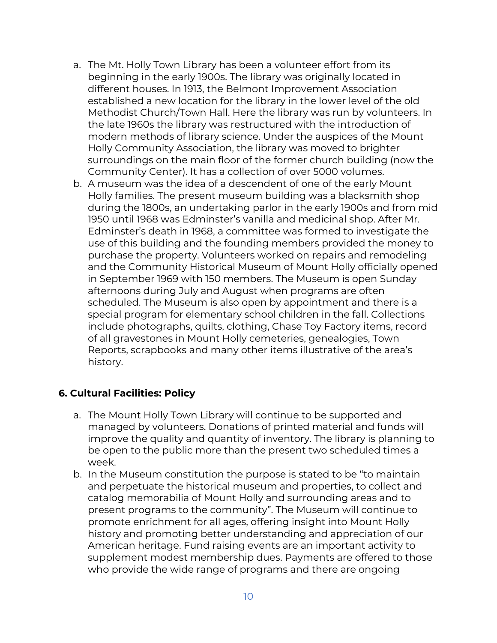- a. The Mt. Holly Town Library has been a volunteer effort from its beginning in the early 1900s. The library was originally located in different houses. In 1913, the Belmont Improvement Association established a new location for the library in the lower level of the old Methodist Church/Town Hall. Here the library was run by volunteers. In the late 1960s the library was restructured with the introduction of modern methods of library science. Under the auspices of the Mount Holly Community Association, the library was moved to brighter surroundings on the main floor of the former church building (now the Community Center). It has a collection of over 5000 volumes.
- b. A museum was the idea of a descendent of one of the early Mount Holly families. The present museum building was a blacksmith shop during the 1800s, an undertaking parlor in the early 1900s and from mid 1950 until 1968 was Edminster's vanilla and medicinal shop. After Mr. Edminster's death in 1968, a committee was formed to investigate the use of this building and the founding members provided the money to purchase the property. Volunteers worked on repairs and remodeling and the Community Historical Museum of Mount Holly officially opened in September 1969 with 150 members. The Museum is open Sunday afternoons during July and August when programs are often scheduled. The Museum is also open by appointment and there is a special program for elementary school children in the fall. Collections include photographs, quilts, clothing, Chase Toy Factory items, record of all gravestones in Mount Holly cemeteries, genealogies, Town Reports, scrapbooks and many other items illustrative of the area's history.

#### **6. Cultural Facilities: Policy**

- a. The Mount Holly Town Library will continue to be supported and managed by volunteers. Donations of printed material and funds will improve the quality and quantity of inventory. The library is planning to be open to the public more than the present two scheduled times a week.
- b. In the Museum constitution the purpose is stated to be "to maintain and perpetuate the historical museum and properties, to collect and catalog memorabilia of Mount Holly and surrounding areas and to present programs to the community". The Museum will continue to promote enrichment for all ages, offering insight into Mount Holly history and promoting better understanding and appreciation of our American heritage. Fund raising events are an important activity to supplement modest membership dues. Payments are offered to those who provide the wide range of programs and there are ongoing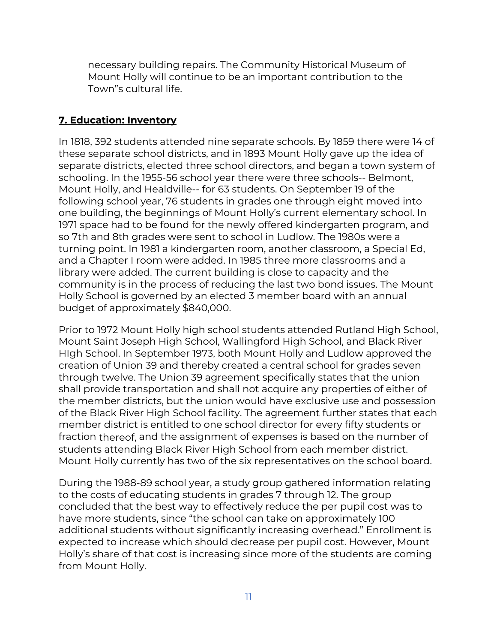necessary building repairs. The Community Historical Museum of Mount Holly will continue to be an important contribution to the Town"s cultural life.

### **7. Education: Inventory**

In 1818, 392 students attended nine separate schools. By 1859 there were 14 of these separate school districts, and in 1893 Mount Holly gave up the idea of separate districts, elected three school directors, and began a town system of schooling. In the 1955-56 school year there were three schools-- Belmont, Mount Holly, and Healdville-- for 63 students. On September 19 of the following school year, 76 students in grades one through eight moved into one building, the beginnings of Mount Holly's current elementary school. In 1971 space had to be found for the newly offered kindergarten program, and so 7th and 8th grades were sent to school in Ludlow. The 1980s were a turning point. In 1981 a kindergarten room, another classroom, a Special Ed, and a Chapter I room were added. In 1985 three more classrooms and a library were added. The current building is close to capacity and the community is in the process of reducing the last two bond issues. The Mount Holly School is governed by an elected 3 member board with an annual budget of approximately \$840,000.

Prior to 1972 Mount Holly high school students attended Rutland High School, Mount Saint Joseph High School, Wallingford High School, and Black River HIgh School. In September 1973, both Mount Holly and Ludlow approved the creation of Union 39 and thereby created a central school for grades seven through twelve. The Union 39 agreement specifically states that the union shall provide transportation and shall not acquire any properties of either of the member districts, but the union would have exclusive use and possession of the Black River High School facility. The agreement further states that each member district is entitled to one school director for every fifty students or fraction thereof, and the assignment of expenses is based on the number of students attending Black River High School from each member district. Mount Holly currently has two of the six representatives on the school board.

During the 1988-89 school year, a study group gathered information relating to the costs of educating students in grades 7 through 12. The group concluded that the best way to effectively reduce the per pupil cost was to have more students, since "the school can take on approximately 100 additional students without significantly increasing overhead." Enrollment is expected to increase which should decrease per pupil cost. However, Mount Holly's share of that cost is increasing since more of the students are coming from Mount Holly.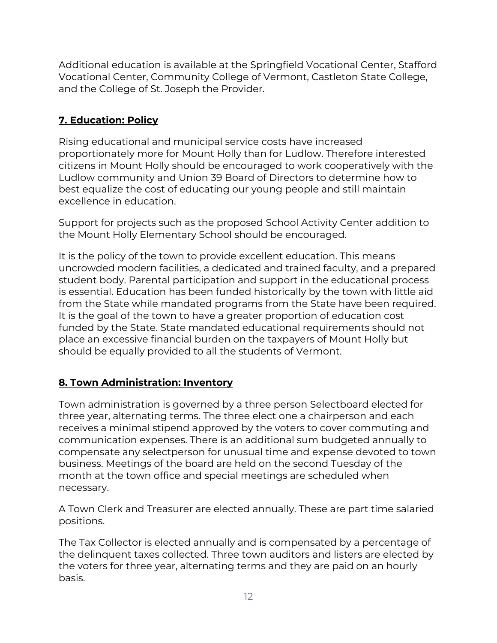Additional education is available at the Springfield Vocational Center, Stafford Vocational Center, Community College of Vermont, Castleton State College, and the College of St. Joseph the Provider.

# **7. Education: Policy**

Rising educational and municipal service costs have increased proportionately more for Mount Holly than for Ludlow. Therefore interested citizens in Mount Holly should be encouraged to work cooperatively with the Ludlow community and Union 39 Board of Directors to determine how to best equalize the cost of educating our young people and still maintain excellence in education.

Support for projects such as the proposed School Activity Center addition to the Mount Holly Elementary School should be encouraged.

It is the policy of the town to provide excellent education. This means uncrowded modern facilities, a dedicated and trained faculty, and a prepared student body. Parental participation and support in the educational process is essential. Education has been funded historically by the town with little aid from the State while mandated programs from the State have been required. It is the goal of the town to have a greater proportion of education cost funded by the State. State mandated educational requirements should not place an excessive financial burden on the taxpayers of Mount Holly but should be equally provided to all the students of Vermont.

# **8. Town Administration: Inventory**

Town administration is governed by a three person Selectboard elected for three year, alternating terms. The three elect one a chairperson and each receives a minimal stipend approved by the voters to cover commuting and communication expenses. There is an additional sum budgeted annually to compensate any selectperson for unusual time and expense devoted to town business. Meetings of the board are held on the second Tuesday of the month at the town office and special meetings are scheduled when necessary.

A Town Clerk and Treasurer are elected annually. These are part time salaried positions.

The Tax Collector is elected annually and is compensated by a percentage of the delinquent taxes collected. Three town auditors and listers are elected by the voters for three year, alternating terms and they are paid on an hourly basis.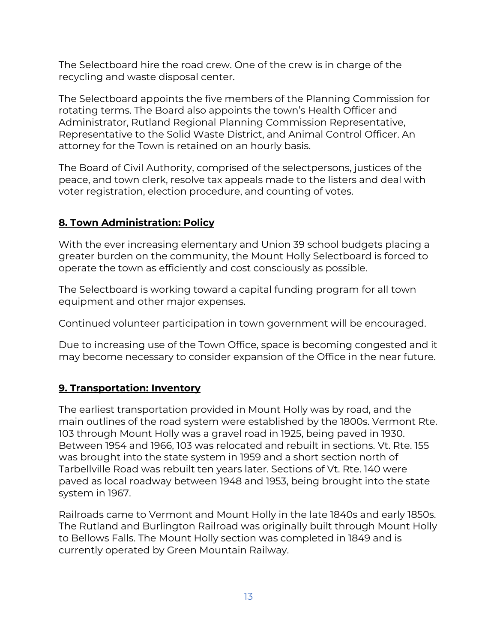The Selectboard hire the road crew. One of the crew is in charge of the recycling and waste disposal center.

The Selectboard appoints the five members of the Planning Commission for rotating terms. The Board also appoints the town's Health Officer and Administrator, Rutland Regional Planning Commission Representative, Representative to the Solid Waste District, and Animal Control Officer. An attorney for the Town is retained on an hourly basis.

The Board of Civil Authority, comprised of the selectpersons, justices of the peace, and town clerk, resolve tax appeals made to the listers and deal with voter registration, election procedure, and counting of votes.

## **8. Town Administration: Policy**

With the ever increasing elementary and Union 39 school budgets placing a greater burden on the community, the Mount Holly Selectboard is forced to operate the town as efficiently and cost consciously as possible.

The Selectboard is working toward a capital funding program for all town equipment and other major expenses.

Continued volunteer participation in town government will be encouraged.

Due to increasing use of the Town Office, space is becoming congested and it may become necessary to consider expansion of the Office in the near future.

## **9. Transportation: Inventory**

The earliest transportation provided in Mount Holly was by road, and the main outlines of the road system were established by the 1800s. Vermont Rte. 103 through Mount Holly was a gravel road in 1925, being paved in 1930. Between 1954 and 1966, 103 was relocated and rebuilt in sections. Vt. Rte. 155 was brought into the state system in 1959 and a short section north of Tarbellville Road was rebuilt ten years later. Sections of Vt. Rte. 140 were paved as local roadway between 1948 and 1953, being brought into the state system in 1967.

Railroads came to Vermont and Mount Holly in the late 1840s and early 1850s. The Rutland and Burlington Railroad was originally built through Mount Holly to Bellows Falls. The Mount Holly section was completed in 1849 and is currently operated by Green Mountain Railway.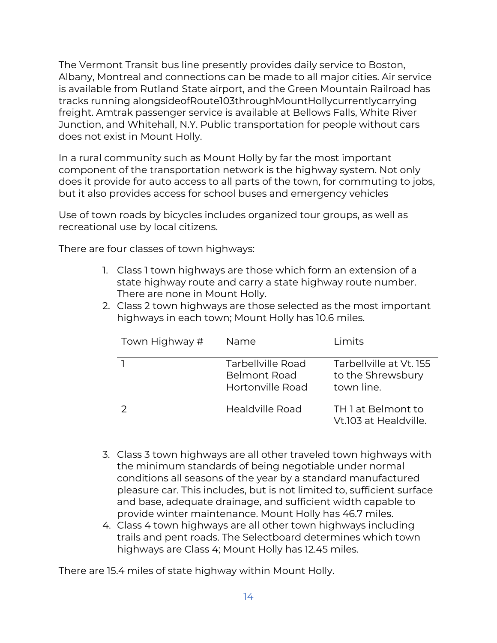The Vermont Transit bus line presently provides daily service to Boston, Albany, Montreal and connections can be made to all major cities. Air service is available from Rutland State airport, and the Green Mountain Railroad has tracks running alongsideofRoute103throughMountHollycurrentlycarrying freight. Amtrak passenger service is available at Bellows Falls, White River Junction, and Whitehall, N.Y. Public transportation for people without cars does not exist in Mount Holly.

In a rural community such as Mount Holly by far the most important component of the transportation network is the highway system. Not only does it provide for auto access to all parts of the town, for commuting to jobs, but it also provides access for school buses and emergency vehicles

Use of town roads by bicycles includes organized tour groups, as well as recreational use by local citizens.

There are four classes of town highways:

- 1. Class 1 town highways are those which form an extension of a state highway route and carry a state highway route number. There are none in Mount Holly.
- 2. Class 2 town highways are those selected as the most important highways in each town; Mount Holly has 10.6 miles.

| Town Highway # | Name                                                         | <u>Limits</u>                                              |
|----------------|--------------------------------------------------------------|------------------------------------------------------------|
|                | Tarbellville Road<br><b>Belmont Road</b><br>Hortonville Road | Tarbellville at Vt. 155<br>to the Shrewsbury<br>town line. |
|                | Healdville Road                                              | TH 1 at Belmont to<br>Vt.103 at Healdville.                |

- 3. Class 3 town highways are all other traveled town highways with the minimum standards of being negotiable under normal conditions all seasons of the year by a standard manufactured pleasure car. This includes, but is not limited to, sufficient surface and base, adequate drainage, and sufficient width capable to provide winter maintenance. Mount Holly has 46.7 miles.
- 4. Class 4 town highways are all other town highways including trails and pent roads. The Selectboard determines which town highways are Class 4; Mount Holly has 12.45 miles.

There are 15.4 miles of state highway within Mount Holly.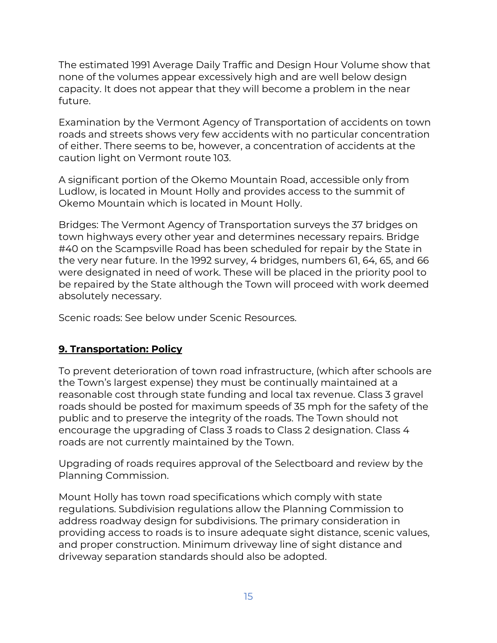The estimated 1991 Average Daily Traffic and Design Hour Volume show that none of the volumes appear excessively high and are well below design capacity. It does not appear that they will become a problem in the near future.

Examination by the Vermont Agency of Transportation of accidents on town roads and streets shows very few accidents with no particular concentration of either. There seems to be, however, a concentration of accidents at the caution light on Vermont route 103.

A significant portion of the Okemo Mountain Road, accessible only from Ludlow, is located in Mount Holly and provides access to the summit of Okemo Mountain which is located in Mount Holly.

Bridges: The Vermont Agency of Transportation surveys the 37 bridges on town highways every other year and determines necessary repairs. Bridge #40 on the Scampsville Road has been scheduled for repair by the State in the very near future. In the 1992 survey, 4 bridges, numbers 61, 64, 65, and 66 were designated in need of work. These will be placed in the priority pool to be repaired by the State although the Town will proceed with work deemed absolutely necessary.

Scenic roads: See below under Scenic Resources.

## **9. Transportation: Policy**

To prevent deterioration of town road infrastructure, (which after schools are the Town's largest expense) they must be continually maintained at a reasonable cost through state funding and local tax revenue. Class 3 gravel roads should be posted for maximum speeds of 35 mph for the safety of the public and to preserve the integrity of the roads. The Town should not encourage the upgrading of Class 3 roads to Class 2 designation. Class 4 roads are not currently maintained by the Town.

Upgrading of roads requires approval of the Selectboard and review by the Planning Commission.

Mount Holly has town road specifications which comply with state regulations. Subdivision regulations allow the Planning Commission to address roadway design for subdivisions. The primary consideration in providing access to roads is to insure adequate sight distance, scenic values, and proper construction. Minimum driveway line of sight distance and driveway separation standards should also be adopted.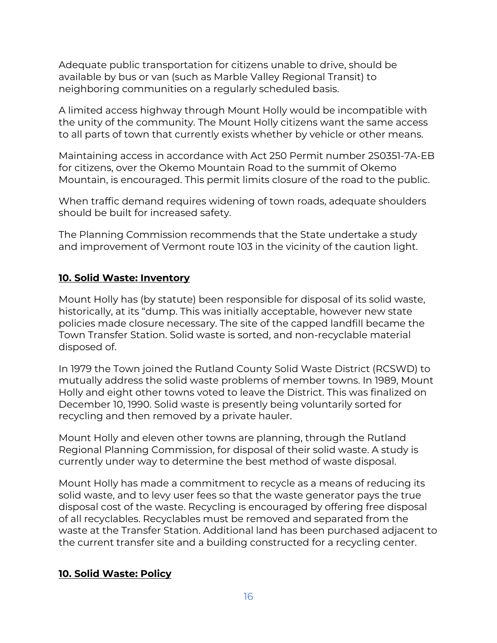Adequate public transportation for citizens unable to drive, should be available by bus or van (such as Marble Valley Regional Transit) to neighboring communities on a regularly scheduled basis.

A limited access highway through Mount Holly would be incompatible with the unity of the community. The Mount Holly citizens want the same access to all parts of town that currently exists whether by vehicle or other means.

Maintaining access in accordance with Act 250 Permit number 2S0351-7A-EB for citizens, over the Okemo Mountain Road to the summit of Okemo Mountain, is encouraged. This permit limits closure of the road to the public.

When traffic demand requires widening of town roads, adequate shoulders should be built for increased safety.

The Planning Commission recommends that the State undertake a study and improvement of Vermont route 103 in the vicinity of the caution light.

#### **10. Solid Waste: Inventory**

Mount Holly has (by statute) been responsible for disposal of its solid waste, historically, at its "dump. This was initially acceptable, however new state policies made closure necessary. The site of the capped landfill became the Town Transfer Station. Solid waste is sorted, and non-recyclable material disposed of.

In 1979 the Town joined the Rutland County Solid Waste District (RCSWD) to mutually address the solid waste problems of member towns. In 1989, Mount Holly and eight other towns voted to leave the District. This was finalized on December 10, 1990. Solid waste is presently being voluntarily sorted for recycling and then removed by a private hauler.

Mount Holly and eleven other towns are planning, through the Rutland Regional Planning Commission, for disposal of their solid waste. A study is currently under way to determine the best method of waste disposal.

Mount Holly has made a commitment to recycle as a means of reducing its solid waste, and to levy user fees so that the waste generator pays the true disposal cost of the waste. Recycling is encouraged by offering free disposal of all recyclables. Recyclables must be removed and separated from the waste at the Transfer Station. Additional land has been purchased adjacent to the current transfer site and a building constructed for a recycling center.

#### **10. Solid Waste: Policy**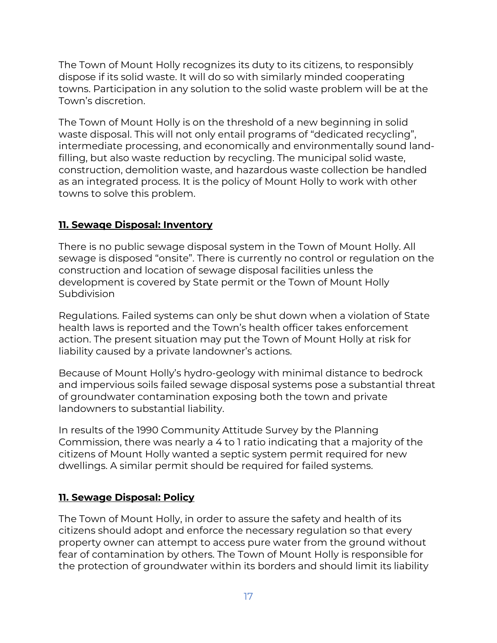The Town of Mount Holly recognizes its duty to its citizens, to responsibly dispose if its solid waste. It will do so with similarly minded cooperating towns. Participation in any solution to the solid waste problem will be at the Town's discretion.

The Town of Mount Holly is on the threshold of a new beginning in solid waste disposal. This will not only entail programs of "dedicated recycling", intermediate processing, and economically and environmentally sound landfilling, but also waste reduction by recycling. The municipal solid waste, construction, demolition waste, and hazardous waste collection be handled as an integrated process. It is the policy of Mount Holly to work with other towns to solve this problem.

## **11. Sewaqe Disposal: Inventory**

There is no public sewage disposal system in the Town of Mount Holly. All sewage is disposed "onsite". There is currently no control or regulation on the construction and location of sewage disposal facilities unless the development is covered by State permit or the Town of Mount Holly **Subdivision** 

Regulations. Failed systems can only be shut down when a violation of State health laws is reported and the Town's health officer takes enforcement action. The present situation may put the Town of Mount Holly at risk for liability caused by a private landowner's actions.

Because of Mount Holly's hydro-geology with minimal distance to bedrock and impervious soils failed sewage disposal systems pose a substantial threat of groundwater contamination exposing both the town and private landowners to substantial liability.

In results of the 1990 Community Attitude Survey by the Planning Commission, there was nearly a 4 to 1 ratio indicating that a majority of the citizens of Mount Holly wanted a septic system permit required for new dwellings. A similar permit should be required for failed systems.

## **11. Sewage Disposal: Policy**

The Town of Mount Holly, in order to assure the safety and health of its citizens should adopt and enforce the necessary regulation so that every property owner can attempt to access pure water from the ground without fear of contamination by others. The Town of Mount Holly is responsible for the protection of groundwater within its borders and should limit its liability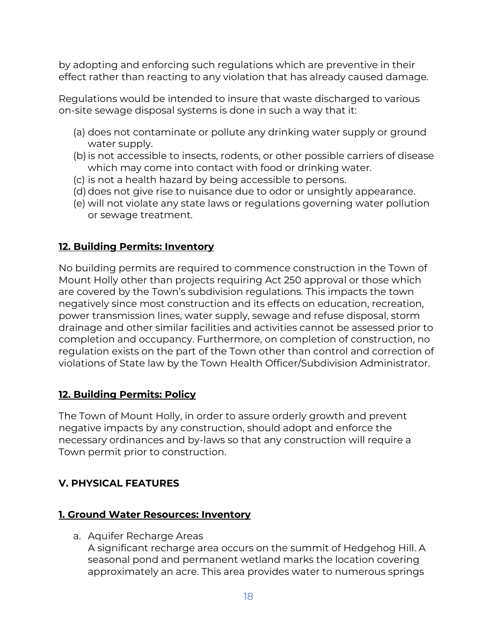by adopting and enforcing such regulations which are preventive in their effect rather than reacting to any violation that has already caused damage.

Regulations would be intended to insure that waste discharged to various on-site sewage disposal systems is done in such a way that it:

- (a) does not contaminate or pollute any drinking water supply or ground water supply.
- (b)is not accessible to insects, rodents, or other possible carriers of disease which may come into contact with food or drinking water.
- (c) is not a health hazard by being accessible to persons.
- (d) does not give rise to nuisance due to odor or unsightly appearance.
- (e) will not violate any state laws or regulations governing water pollution or sewage treatment.

## **12. Building Permits: Inventory**

No building permits are required to commence construction in the Town of Mount Holly other than projects requiring Act 250 approval or those which are covered by the Town's subdivision regulations. This impacts the town negatively since most construction and its effects on education, recreation, power transmission lines, water supply, sewage and refuse disposal, storm drainage and other similar facilities and activities cannot be assessed prior to completion and occupancy. Furthermore, on completion of construction, no regulation exists on the part of the Town other than control and correction of violations of State law by the Town Health Officer/Subdivision Administrator.

## **12. Building Permits: Policy**

The Town of Mount Holly, in order to assure orderly growth and prevent negative impacts by any construction, should adopt and enforce the necessary ordinances and by-laws so that any construction will require a Town permit prior to construction.

## **V. PHYSICAL FEATURES**

## **1. Ground Water Resources: Inventory**

a. Aquifer Recharge Areas

A significant recharge area occurs on the summit of Hedgehog Hill. A seasonal pond and permanent wetland marks the location covering approximately an acre. This area provides water to numerous springs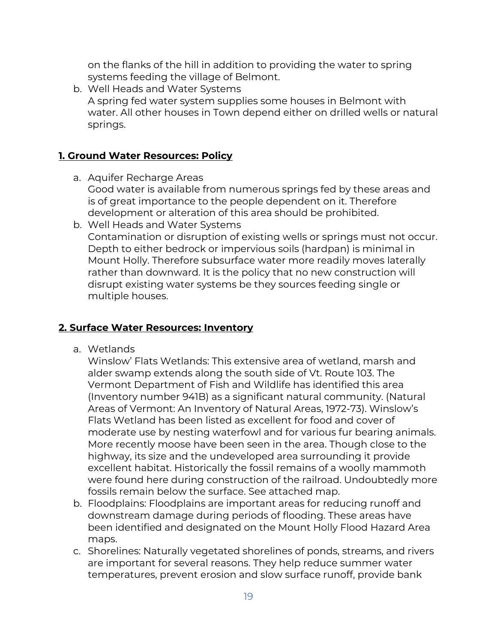on the flanks of the hill in addition to providing the water to spring systems feeding the village of Belmont.

b. Well Heads and Water Systems A spring fed water system supplies some houses in Belmont with water. All other houses in Town depend either on drilled wells or natural springs.

#### **1. Ground Water Resources: Policy**

- a. Aquifer Recharge Areas Good water is available from numerous springs fed by these areas and is of great importance to the people dependent on it. Therefore development or alteration of this area should be prohibited.
- b. Well Heads and Water Systems Contamination or disruption of existing wells or springs must not occur. Depth to either bedrock or impervious soils (hardpan) is minimal in Mount Holly. Therefore subsurface water more readily moves laterally rather than downward. It is the policy that no new construction will disrupt existing water systems be they sources feeding single or multiple houses.

### **2. Surface Water Resources: Inventory**

a. Wetlands

Winslow' Flats Wetlands: This extensive area of wetland, marsh and alder swamp extends along the south side of Vt. Route 103. The Vermont Department of Fish and Wildlife has identified this area (Inventory number 941B) as a significant natural community. (Natural Areas of Vermont: An Inventory of Natural Areas, 1972-73). Winslow's Flats Wetland has been listed as excellent for food and cover of moderate use by nesting waterfowl and for various fur bearing animals. More recently moose have been seen in the area. Though close to the highway, its size and the undeveloped area surrounding it provide excellent habitat. Historically the fossil remains of a woolly mammoth were found here during construction of the railroad. Undoubtedly more fossils remain below the surface. See attached map.

- b. Floodplains: Floodplains are important areas for reducing runoff and downstream damage during periods of flooding. These areas have been identified and designated on the Mount Holly Flood Hazard Area maps.
- c. Shorelines: Naturally vegetated shorelines of ponds, streams, and rivers are important for several reasons. They help reduce summer water temperatures, prevent erosion and slow surface runoff, provide bank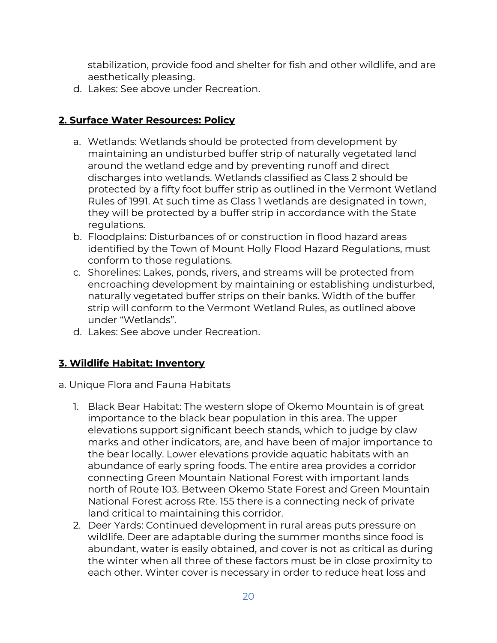stabilization, provide food and shelter for fish and other wildlife, and are aesthetically pleasing.

d. Lakes: See above under Recreation.

## **2. Surface Water Resources: Policy**

- a. Wetlands: Wetlands should be protected from development by maintaining an undisturbed buffer strip of naturally vegetated land around the wetland edge and by preventing runoff and direct discharges into wetlands. Wetlands classified as Class 2 should be protected by a fifty foot buffer strip as outlined in the Vermont Wetland Rules of 1991. At such time as Class 1 wetlands are designated in town, they will be protected by a buffer strip in accordance with the State regulations.
- b. Floodplains: Disturbances of or construction in flood hazard areas identified by the Town of Mount Holly Flood Hazard Regulations, must conform to those regulations.
- c. Shorelines: Lakes, ponds, rivers, and streams will be protected from encroaching development by maintaining or establishing undisturbed, naturally vegetated buffer strips on their banks. Width of the buffer strip will conform to the Vermont Wetland Rules, as outlined above under "Wetlands".
- d. Lakes: See above under Recreation.

# **3. Wildlife Habitat: Inventory**

- a. Unique Flora and Fauna Habitats
	- 1. Black Bear Habitat: The western slope of Okemo Mountain is of great importance to the black bear population in this area. The upper elevations support significant beech stands, which to judge by claw marks and other indicators, are, and have been of major importance to the bear locally. Lower elevations provide aquatic habitats with an abundance of early spring foods. The entire area provides a corridor connecting Green Mountain National Forest with important lands north of Route 103. Between Okemo State Forest and Green Mountain National Forest across Rte. 155 there is a connecting neck of private land critical to maintaining this corridor.
	- 2. Deer Yards: Continued development in rural areas puts pressure on wildlife. Deer are adaptable during the summer months since food is abundant, water is easily obtained, and cover is not as critical as during the winter when all three of these factors must be in close proximity to each other. Winter cover is necessary in order to reduce heat loss and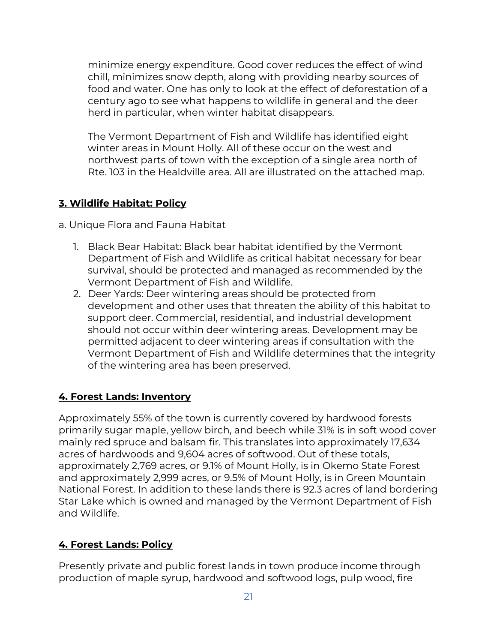minimize energy expenditure. Good cover reduces the effect of wind chill, minimizes snow depth, along with providing nearby sources of food and water. One has only to look at the effect of deforestation of a century ago to see what happens to wildlife in general and the deer herd in particular, when winter habitat disappears.

The Vermont Department of Fish and Wildlife has identified eight winter areas in Mount Holly. All of these occur on the west and northwest parts of town with the exception of a single area north of Rte. 103 in the Healdville area. All are illustrated on the attached map.

## **3. Wildlife Habitat: Policy**

a. Unique Flora and Fauna Habitat

- 1. Black Bear Habitat: Black bear habitat identified by the Vermont Department of Fish and Wildlife as critical habitat necessary for bear survival, should be protected and managed as recommended by the Vermont Department of Fish and Wildlife.
- 2. Deer Yards: Deer wintering areas should be protected from development and other uses that threaten the ability of this habitat to support deer. Commercial, residential, and industrial development should not occur within deer wintering areas. Development may be permitted adjacent to deer wintering areas if consultation with the Vermont Department of Fish and Wildlife determines that the integrity of the wintering area has been preserved.

## **4. Forest Lands: Inventory**

Approximately 55% of the town is currently covered by hardwood forests primarily sugar maple, yellow birch, and beech while 31% is in soft wood cover mainly red spruce and balsam fir. This translates into approximately 17,634 acres of hardwoods and 9,604 acres of softwood. Out of these totals, approximately 2,769 acres, or 9.1% of Mount Holly, is in Okemo State Forest and approximately 2,999 acres, or 9.5% of Mount Holly, is in Green Mountain National Forest. In addition to these lands there is 92.3 acres of land bordering Star Lake which is owned and managed by the Vermont Department of Fish and Wildlife.

## **4. Forest Lands: Policy**

Presently private and public forest lands in town produce income through production of maple syrup, hardwood and softwood logs, pulp wood, fire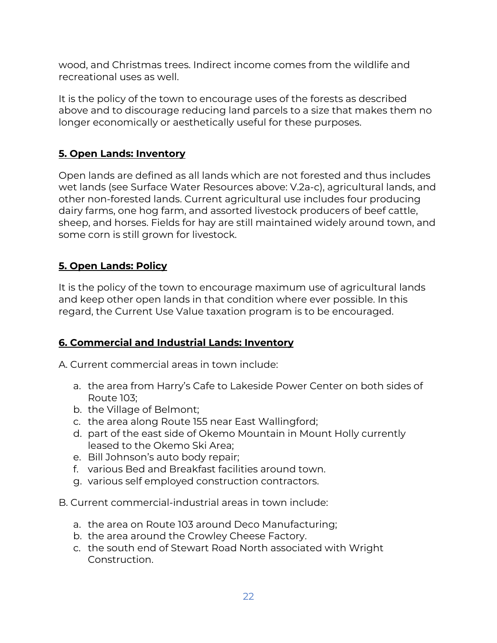wood, and Christmas trees. Indirect income comes from the wildlife and recreational uses as well.

It is the policy of the town to encourage uses of the forests as described above and to discourage reducing land parcels to a size that makes them no longer economically or aesthetically useful for these purposes.

# **5. Open Lands: Inventory**

Open lands are defined as all lands which are not forested and thus includes wet lands (see Surface Water Resources above: V.2a-c), agricultural lands, and other non-forested lands. Current agricultural use includes four producing dairy farms, one hog farm, and assorted livestock producers of beef cattle, sheep, and horses. Fields for hay are still maintained widely around town, and some corn is still grown for livestock.

## **5. Open Lands: Policy**

It is the policy of the town to encourage maximum use of agricultural lands and keep other open lands in that condition where ever possible. In this regard, the Current Use Value taxation program is to be encouraged.

# **6. Commercial and Industrial Lands: Inventory**

A. Current commercial areas in town include:

- a. the area from Harry's Cafe to Lakeside Power Center on both sides of Route 103;
- b. the Village of Belmont;
- c. the area along Route 155 near East Wallingford;
- d. part of the east side of Okemo Mountain in Mount Holly currently leased to the Okemo Ski Area;
- e. Bill Johnson's auto body repair;
- f. various Bed and Breakfast facilities around town.
- g. various self employed construction contractors.
- B. Current commercial-industrial areas in town include:
	- a. the area on Route 103 around Deco Manufacturing;
	- b. the area around the Crowley Cheese Factory.
	- c. the south end of Stewart Road North associated with Wright Construction.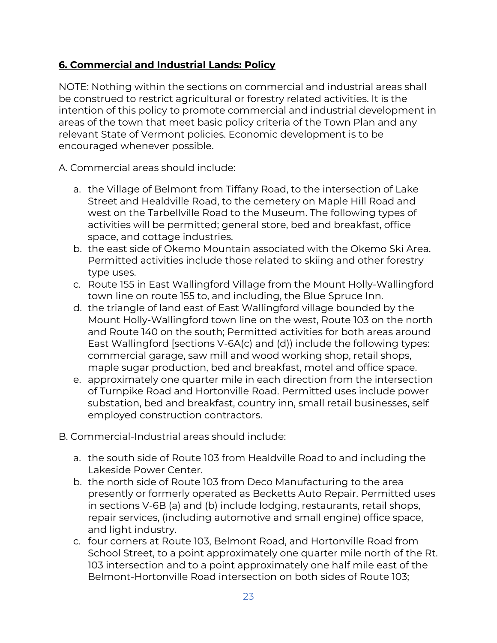## **6. Commercial and Industrial Lands: Policy**

NOTE: Nothing within the sections on commercial and industrial areas shall be construed to restrict agricultural or forestry related activities. It is the intention of this policy to promote commercial and industrial development in areas of the town that meet basic policy criteria of the Town Plan and any relevant State of Vermont policies. Economic development is to be encouraged whenever possible.

A. Commercial areas should include:

- a. the Village of Belmont from Tiffany Road, to the intersection of Lake Street and Healdville Road, to the cemetery on Maple Hill Road and west on the Tarbellville Road to the Museum. The following types of activities will be permitted; general store, bed and breakfast, office space, and cottage industries.
- b. the east side of Okemo Mountain associated with the Okemo Ski Area. Permitted activities include those related to skiing and other forestry type uses.
- c. Route 155 in East Wallingford Village from the Mount Holly-Wallingford town line on route 155 to, and including, the Blue Spruce Inn.
- d. the triangle of land east of East Wallingford village bounded by the Mount Holly-Wallingford town line on the west, Route 103 on the north and Route 140 on the south; Permitted activities for both areas around East Wallingford [sections V-6A(c) and (d)) include the following types: commercial garage, saw mill and wood working shop, retail shops, maple sugar production, bed and breakfast, motel and office space.
- e. approximately one quarter mile in each direction from the intersection of Turnpike Road and Hortonville Road. Permitted uses include power substation, bed and breakfast, country inn, small retail businesses, self employed construction contractors.
- B. Commercial-Industrial areas should include:
	- a. the south side of Route 103 from Healdville Road to and including the Lakeside Power Center.
	- b. the north side of Route 103 from Deco Manufacturing to the area presently or formerly operated as Becketts Auto Repair. Permitted uses in sections V-6B (a) and (b) include lodging, restaurants, retail shops, repair services, (including automotive and small engine) office space, and light industry.
	- c. four corners at Route 103, Belmont Road, and Hortonville Road from School Street, to a point approximately one quarter mile north of the Rt. 103 intersection and to a point approximately one half mile east of the Belmont-Hortonville Road intersection on both sides of Route 103;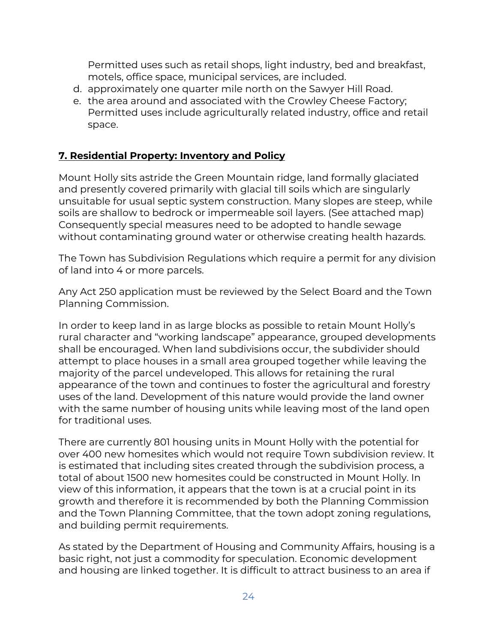Permitted uses such as retail shops, light industry, bed and breakfast, motels, office space, municipal services, are included.

- d. approximately one quarter mile north on the Sawyer Hill Road.
- e. the area around and associated with the Crowley Cheese Factory; Permitted uses include agriculturally related industry, office and retail space.

## **7. Residential Property: Inventory and Policy**

Mount Holly sits astride the Green Mountain ridge, land formally glaciated and presently covered primarily with glacial till soils which are singularly unsuitable for usual septic system construction. Many slopes are steep, while soils are shallow to bedrock or impermeable soil layers. (See attached map) Consequently special measures need to be adopted to handle sewage without contaminating ground water or otherwise creating health hazards.

The Town has Subdivision Regulations which require a permit for any division of land into 4 or more parcels.

Any Act 250 application must be reviewed by the Select Board and the Town Planning Commission.

In order to keep land in as large blocks as possible to retain Mount Holly's rural character and "working landscape" appearance, grouped developments shall be encouraged. When land subdivisions occur, the subdivider should attempt to place houses in a small area grouped together while leaving the majority of the parcel undeveloped. This allows for retaining the rural appearance of the town and continues to foster the agricultural and forestry uses of the land. Development of this nature would provide the land owner with the same number of housing units while leaving most of the land open for traditional uses.

There are currently 801 housing units in Mount Holly with the potential for over 400 new homesites which would not require Town subdivision review. It is estimated that including sites created through the subdivision process, a total of about 1500 new homesites could be constructed in Mount Holly. In view of this information, it appears that the town is at a crucial point in its growth and therefore it is recommended by both the Planning Commission and the Town Planning Committee, that the town adopt zoning regulations, and building permit requirements.

As stated by the Department of Housing and Community Affairs, housing is a basic right, not just a commodity for speculation. Economic development and housing are linked together. It is difficult to attract business to an area if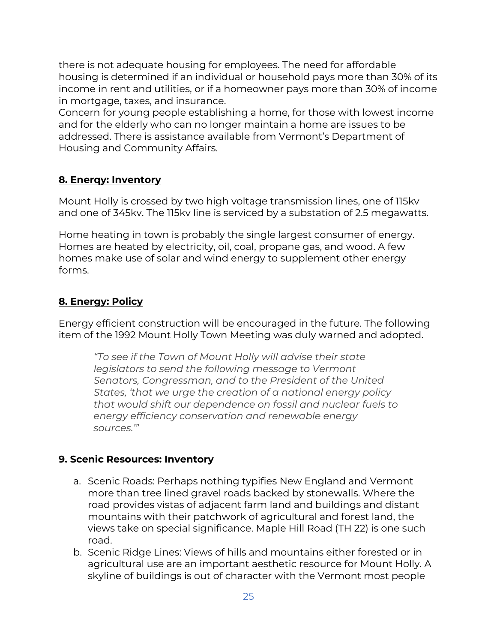there is not adequate housing for employees. The need for affordable housing is determined if an individual or household pays more than 30% of its income in rent and utilities, or if a homeowner pays more than 30% of income in mortgage, taxes, and insurance.

Concern for young people establishing a home, for those with lowest income and for the elderly who can no longer maintain a home are issues to be addressed. There is assistance available from Vermont's Department of Housing and Community Affairs.

## **8. Enerqy: Inventory**

Mount Holly is crossed by two high voltage transmission lines, one of 115kv and one of 345kv. The 115kv line is serviced by a substation of 2.5 megawatts.

Home heating in town is probably the single largest consumer of energy. Homes are heated by electricity, oil, coal, propane gas, and wood. A few homes make use of solar and wind energy to supplement other energy forms.

## **8. Energy: Policy**

Energy efficient construction will be encouraged in the future. The following item of the 1992 Mount Holly Town Meeting was duly warned and adopted.

*"To see if the Town of Mount Holly will advise their state legislators to send the following message to Vermont Senators, Congressman, and to the President of the United States, 'that we urge the creation of a national energy policy that would shift our dependence on fossil and nuclear fuels to energy efficiency conservation and renewable energy sources.'"*

# **9. Scenic Resources: Inventory**

- a. Scenic Roads: Perhaps nothing typifies New England and Vermont more than tree lined gravel roads backed by stonewalls. Where the road provides vistas of adjacent farm land and buildings and distant mountains with their patchwork of agricultural and forest land, the views take on special significance. Maple Hill Road (TH 22) is one such road.
- b. Scenic Ridge Lines: Views of hills and mountains either forested or in agricultural use are an important aesthetic resource for Mount Holly. A skyline of buildings is out of character with the Vermont most people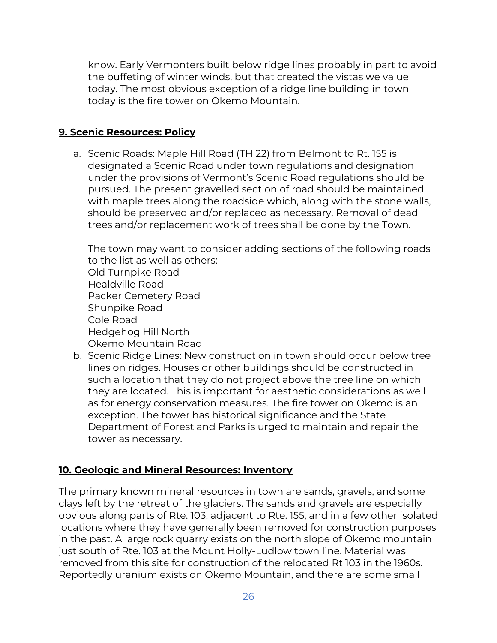know. Early Vermonters built below ridge lines probably in part to avoid the buffeting of winter winds, but that created the vistas we value today. The most obvious exception of a ridge line building in town today is the fire tower on Okemo Mountain.

#### **9. Scenic Resources: Policy**

a. Scenic Roads: Maple Hill Road (TH 22) from Belmont to Rt. 155 is designated a Scenic Road under town regulations and designation under the provisions of Vermont's Scenic Road regulations should be pursued. The present gravelled section of road should be maintained with maple trees along the roadside which, along with the stone walls, should be preserved and/or replaced as necessary. Removal of dead trees and/or replacement work of trees shall be done by the Town.

The town may want to consider adding sections of the following roads to the list as well as others: Old Turnpike Road Healdville Road Packer Cemetery Road Shunpike Road Cole Road Hedgehog Hill North Okemo Mountain Road

b. Scenic Ridge Lines: New construction in town should occur below tree lines on ridges. Houses or other buildings should be constructed in such a location that they do not project above the tree line on which they are located. This is important for aesthetic considerations as well as for energy conservation measures. The fire tower on Okemo is an exception. The tower has historical significance and the State Department of Forest and Parks is urged to maintain and repair the tower as necessary.

## **10. Geologic and Mineral Resources: Inventory**

The primary known mineral resources in town are sands, gravels, and some clays left by the retreat of the glaciers. The sands and gravels are especially obvious along parts of Rte. 103, adjacent to Rte. 155, and in a few other isolated locations where they have generally been removed for construction purposes in the past. A large rock quarry exists on the north slope of Okemo mountain just south of Rte. 103 at the Mount Holly-Ludlow town line. Material was removed from this site for construction of the relocated Rt 103 in the 1960s. Reportedly uranium exists on Okemo Mountain, and there are some small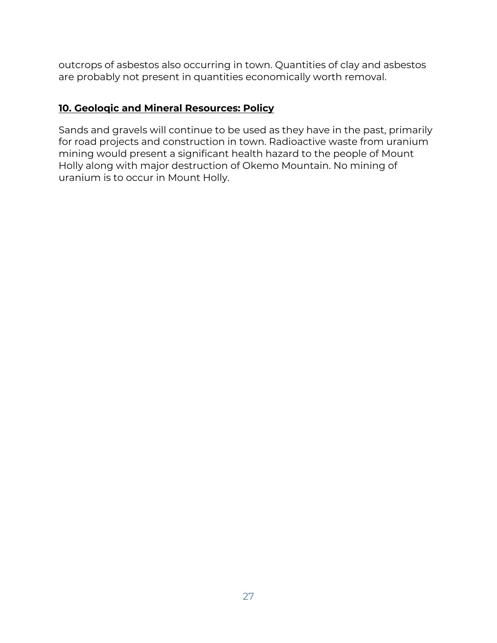outcrops of asbestos also occurring in town. Quantities of clay and asbestos are probably not present in quantities economically worth removal.

## **10. Geoloqic and Mineral Resources: Policy**

Sands and gravels will continue to be used as they have in the past, primarily for road projects and construction in town. Radioactive waste from uranium mining would present a significant health hazard to the people of Mount Holly along with major destruction of Okemo Mountain. No mining of uranium is to occur in Mount Holly.